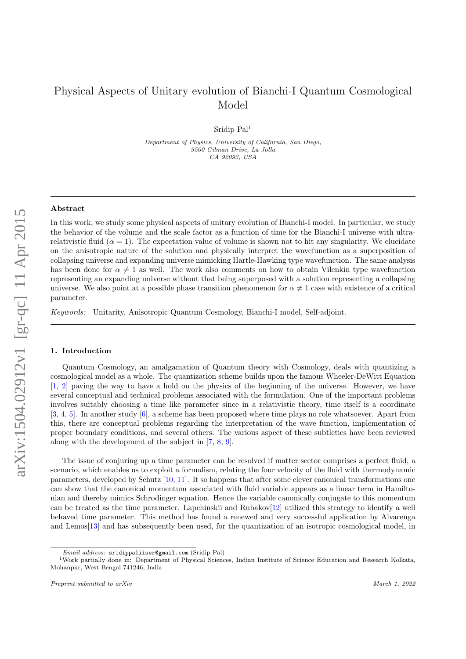# Physical Aspects of Unitary evolution of Bianchi-I Quantum Cosmological Model

Sridip Pal<sup>1</sup>

Department of Physics, University of California, San Diego, 9500 Gilman Drive, La Jolla CA 92093, USA

## Abstract

In this work, we study some physical aspects of unitary evolution of Bianchi-I model. In particular, we study the behavior of the volume and the scale factor as a function of time for the Bianchi-I universe with ultrarelativistic fluid ( $\alpha = 1$ ). The expectation value of volume is shown not to hit any singularity. We elucidate on the anisotropic nature of the solution and physically interpret the wavefunction as a superposition of collapsing universe and expanding universe mimicking Hartle-Hawking type wavefunction. The same analysis has been done for  $\alpha \neq 1$  as well. The work also comments on how to obtain Vilenkin type wavefunction representing an expanding universe without that being superposed with a solution representing a collapsing universe. We also point at a possible phase transition phenomenon for  $\alpha \neq 1$  case with existence of a critical parameter.

Keywords: Unitarity, Anisotropic Quantum Cosmology, Bianchi-I model, Self-adjoint.

#### 1. Introduction

Quantum Cosmology, an amalgamation of Quantum theory with Cosmology, deals with quantizing a cosmological model as a whole. The quantization scheme builds upon the famous Wheeler-DeWitt Equation [\[1,](#page-10-0) [2\]](#page-10-1) paving the way to have a hold on the physics of the beginning of the universe. However, we have several conceptual and technical problems associated with the formulation. One of the important problems involves suitably choosing a time like parameter since in a relativistic theory, time itself is a coordinate [\[3,](#page-10-2) [4,](#page-10-3) [5\]](#page-10-4). In another study [\[6\]](#page-10-5), a scheme has been proposed where time plays no role whatsoever. Apart from this, there are conceptual problems regarding the interpretation of the wave function, implementation of proper boundary conditions, and several others. The various aspect of these subtleties have been reviewed along with the development of the subject in [\[7,](#page-10-6) [8,](#page-10-7) [9\]](#page-10-8).

The issue of conjuring up a time parameter can be resolved if matter sector comprises a perfect fluid, a scenario, which enables us to exploit a formalism, relating the four velocity of the fluid with thermodynamic parameters, developed by Schutz [\[10,](#page-10-9) [11\]](#page-10-10). It so happens that after some clever canonical transformations one can show that the canonical momentum associated with fluid variable appears as a linear term in Hamiltonian and thereby mimics Schrodinger equation. Hence the variable canonically conjugate to this momentum can be treated as the time parameter. Lapchinskii and Rubakov $[12]$  utilized this strategy to identify a well behaved time parameter. This method has found a renewed and very successful application by Alvarenga and Lemos[\[13\]](#page-10-12) and has subsequently been used, for the quantization of an isotropic cosmological model, in

Email address: sridippaliiser@gmail.com (Sridip Pal)

<sup>1</sup>Work partially done in: Department of Physical Sciences, Indian Institute of Science Education and Research Kolkata, Mohanpur, West Bengal 741246, India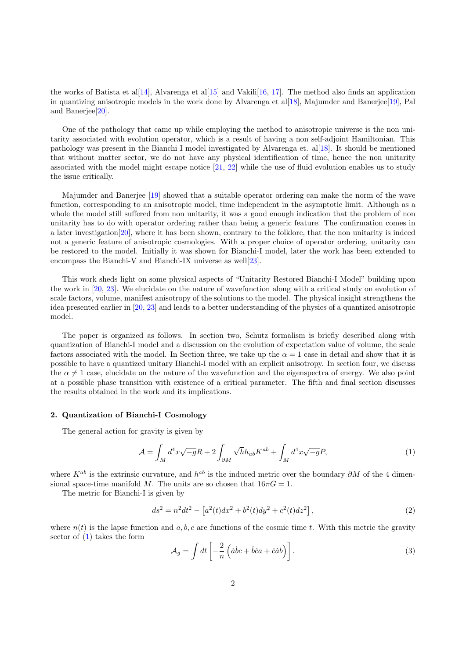the works of Batista et al[\[14\]](#page-10-13), Alvarenga et al[\[15\]](#page-10-14) and Vakili[\[16,](#page-10-15) [17\]](#page-10-16). The method also finds an application in quantizing anisotropic models in the work done by Alvarenga et al[\[18\]](#page-10-17), Majumder and Banerjee[\[19\]](#page-10-18), Pal and Banerjee[\[20\]](#page-10-19).

One of the pathology that came up while employing the method to anisotropic universe is the non unitarity associated with evolution operator, which is a result of having a non self-adjoint Hamiltonian. This pathology was present in the Bianchi I model investigated by Alvarenga et. al[\[18\]](#page-10-17). It should be mentioned that without matter sector, we do not have any physical identification of time, hence the non unitarity associated with the model might escape notice [\[21,](#page-10-20) [22\]](#page-10-21) while the use of fluid evolution enables us to study the issue critically.

Majumder and Banerjee [\[19\]](#page-10-18) showed that a suitable operator ordering can make the norm of the wave function, corresponding to an anisotropic model, time independent in the asymptotic limit. Although as a whole the model still suffered from non unitarity, it was a good enough indication that the problem of non unitarity has to do with operator ordering rather than being a generic feature. The confirmation comes in a later investigation[\[20\]](#page-10-19), where it has been shown, contrary to the folklore, that the non unitarity is indeed not a generic feature of anisotropic cosmologies. With a proper choice of operator ordering, unitarity can be restored to the model. Initially it was shown for Bianchi-I model, later the work has been extended to encompass the Bianchi-V and Bianchi-IX universe as well[\[23\]](#page-10-22).

This work sheds light on some physical aspects of "Unitarity Restored Bianchi-I Model" building upon the work in [\[20,](#page-10-19) [23\]](#page-10-22). We elucidate on the nature of wavefunction along with a critical study on evolution of scale factors, volume, manifest anisotropy of the solutions to the model. The physical insight strengthens the idea presented earlier in [\[20,](#page-10-19) [23\]](#page-10-22) and leads to a better understanding of the physics of a quantized anisotropic model.

The paper is organized as follows. In section two, Schutz formalism is briefly described along with quantization of Bianchi-I model and a discussion on the evolution of expectation value of volume, the scale factors associated with the model. In Section three, we take up the  $\alpha = 1$  case in detail and show that it is possible to have a quantized unitary Bianchi-I model with an explicit anisotropy. In section four, we discuss the  $\alpha \neq 1$  case, elucidate on the nature of the wavefunction and the eigenspectra of energy. We also point at a possible phase transition with existence of a critical parameter. The fifth and final section discusses the results obtained in the work and its implications.

## 2. Quantization of Bianchi-I Cosmology

The general action for gravity is given by

<span id="page-1-0"></span>
$$
\mathcal{A} = \int_M d^4x \sqrt{-g}R + 2 \int_{\partial M} \sqrt{h} h_{ab} K^{ab} + \int_M d^4x \sqrt{-g} P,\tag{1}
$$

where  $K^{ab}$  is the extrinsic curvature, and  $h^{ab}$  is the induced metric over the boundary  $\partial M$  of the 4 dimensional space-time manifold M. The units are so chosen that  $16\pi G = 1$ .

The metric for Bianchi-I is given by

$$
ds^{2} = n^{2}dt^{2} - [a^{2}(t)dx^{2} + b^{2}(t)dy^{2} + c^{2}(t)dz^{2}],
$$
\n(2)

where  $n(t)$  is the lapse function and a, b, c are functions of the cosmic time t. With this metric the gravity sector of [\(1\)](#page-1-0) takes the form

$$
\mathcal{A}_g = \int dt \left[ -\frac{2}{n} \left( \dot{a} \dot{b} c + \dot{b} \dot{c} a + \dot{c} \dot{a} b \right) \right]. \tag{3}
$$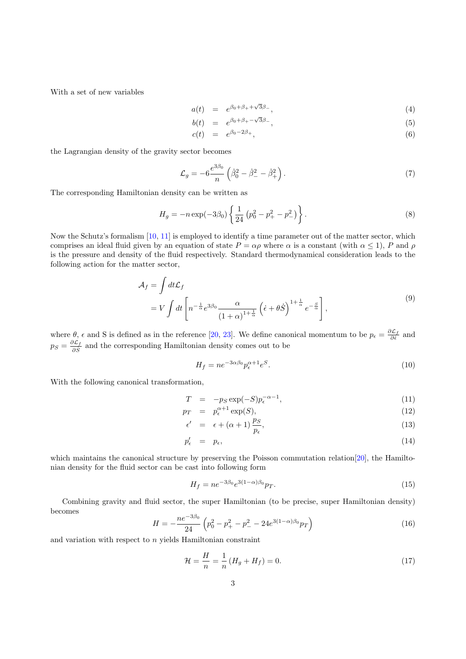With a set of new variables

$$
a(t) = e^{\beta_0 + \beta_+ + \sqrt{3}\beta_-}, \qquad (4)
$$

$$
b(t) = e^{\beta_0 + \beta_+ - \sqrt{3}\beta_-}, \tag{5}
$$

$$
c(t) = e^{\beta_0 - 2\beta_+}, \tag{6}
$$

the Lagrangian density of the gravity sector becomes

$$
\mathcal{L}_g = -6 \frac{e^{3\beta_0}}{n} \left( \dot{\beta}_0^2 - \dot{\beta}_-^2 - \dot{\beta}_+^2 \right). \tag{7}
$$

The corresponding Hamiltonian density can be written as

$$
H_g = -n \exp(-3\beta_0) \left\{ \frac{1}{24} \left( p_0^2 - p_+^2 - p_-^2 \right) \right\}.
$$
 (8)

Now the Schutz's formalism [\[10,](#page-10-9) [11\]](#page-10-10) is employed to identify a time parameter out of the matter sector, which comprises an ideal fluid given by an equation of state  $P = \alpha \rho$  where  $\alpha$  is a constant (with  $\alpha \le 1$ ), P and  $\rho$ is the pressure and density of the fluid respectively. Standard thermodynamical consideration leads to the following action for the matter sector,

$$
\mathcal{A}_f = \int dt \mathcal{L}_f
$$
\n
$$
= V \int dt \left[ n^{-\frac{1}{\alpha}} e^{3\beta_0} \frac{\alpha}{(1+\alpha)^{1+\frac{1}{\alpha}}} \left( \dot{\epsilon} + \theta \dot{S} \right)^{1+\frac{1}{\alpha}} e^{-\frac{S}{\alpha}} \right],
$$
\n(9)

where  $\theta$ ,  $\epsilon$  and S is defined as in the reference [\[20,](#page-10-19) [23\]](#page-10-22). We define canonical momentum to be  $p_{\epsilon} = \frac{\partial \mathcal{L}_f}{\partial \dot{\epsilon}}$  and  $p_S = \frac{\partial \mathcal{L}_f}{\partial \dot{S}}$  $\frac{\partial L_f}{\partial \dot{S}}$  and the corresponding Hamiltonian density comes out to be

$$
H_f = n e^{-3\alpha\beta_0} p_{\epsilon}^{\alpha+1} e^S.
$$
\n<sup>(10)</sup>

With the following canonical transformation,

$$
T = -p_S \exp(-S) p_{\epsilon}^{-\alpha - 1}, \qquad (11)
$$

$$
p_T = p_{\epsilon}^{\alpha+1} \exp(S), \tag{12}
$$

$$
\epsilon' = \epsilon + (\alpha + 1) \frac{p_S}{p_{\epsilon}}, \tag{13}
$$

$$
p'_{\epsilon} = p_{\epsilon}, \tag{14}
$$

which maintains the canonical structure by preserving the Poisson commutation relation [\[20\]](#page-10-19), the Hamiltonian density for the fluid sector can be cast into following form

$$
H_f = n e^{-3\beta_0} e^{3(1-\alpha)\beta_0} p_T.
$$
\n(15)

Combining gravity and fluid sector, the super Hamiltonian (to be precise, super Hamiltonian density) becomes

$$
H = -\frac{ne^{-3\beta_0}}{24} \left( p_0^2 - p_+^2 - p_-^2 - 24e^{3(1-\alpha)\beta_0} p_T \right)
$$
 (16)

and variation with respect to  $n$  yields Hamiltonian constraint

<span id="page-2-0"></span>
$$
\mathcal{H} = \frac{H}{n} = \frac{1}{n} \left( H_g + H_f \right) = 0. \tag{17}
$$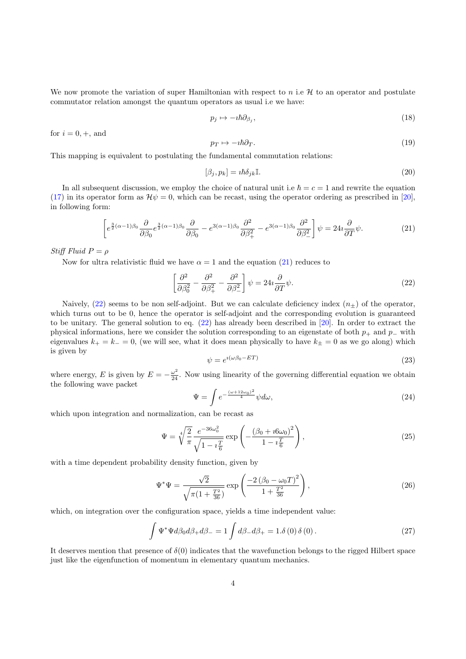We now promote the variation of super Hamiltonian with respect to  $n$  i.e  $\mathcal H$  to an operator and postulate commutator relation amongst the quantum operators as usual i.e we have:

$$
p_j \mapsto -i\hbar \partial_{\beta_j},\tag{18}
$$

for  $i = 0, +$ , and

$$
p_T \mapsto -i\hbar \partial_T. \tag{19}
$$

This mapping is equivalent to postulating the fundamental commutation relations:

<span id="page-3-1"></span>
$$
[\beta_j, p_k] = i\hbar \delta_{jk} \mathbb{I}.
$$
\n(20)

<span id="page-3-0"></span>In all subsequent discussion, we employ the choice of natural unit i.e  $\hbar = c = 1$  and rewrite the equation [\(17\)](#page-2-0) in its operator form as  $\mathcal{H}\psi = 0$ , which can be recast, using the operator ordering as prescribed in [\[20\]](#page-10-19), in following form:

$$
\left[e^{\frac{3}{2}(\alpha-1)\beta_0}\frac{\partial}{\partial\beta_0}e^{\frac{3}{2}(\alpha-1)\beta_0}\frac{\partial}{\partial\beta_0}-e^{3(\alpha-1)\beta_0}\frac{\partial^2}{\partial\beta_+^2}-e^{3(\alpha-1)\beta_0}\frac{\partial^2}{\partial\beta_-^2}\right]\psi=24i\frac{\partial}{\partial T}\psi.\tag{21}
$$

Stiff Fluid  $P = \rho$ 

Now for ultra relativistic fluid we have  $\alpha = 1$  and the equation [\(21\)](#page-3-0) reduces to

$$
\left[\frac{\partial^2}{\partial \beta_0^2} - \frac{\partial^2}{\partial \beta_+^2} - \frac{\partial^2}{\partial \beta_-^2}\right] \psi = 24i \frac{\partial}{\partial T} \psi.
$$
\n(22)

Naively, [\(22\)](#page-3-1) seems to be non self-adjoint. But we can calculate deficiency index  $(n_{\pm})$  of the operator, which turns out to be 0, hence the operator is self-adjoint and the corresponding evolution is guaranteed to be unitary. The general solution to eq. [\(22\)](#page-3-1) has already been described in [\[20\]](#page-10-19). In order to extract the physical informations, here we consider the solution corresponding to an eigenstate of both  $p_+$  and  $p_-\$  with eigenvalues  $k_{+} = k_{-} = 0$ , (we will see, what it does mean physically to have  $k_{+} = 0$  as we go along) which is given by

$$
\psi = e^{i(\omega \beta_0 - ET)} \tag{23}
$$

where energy, E is given by  $E = -\frac{\omega^2}{24}$ . Now using linearity of the governing differential equation we obtain the following wave packet

<span id="page-3-3"></span>
$$
\Psi = \int e^{-\frac{(\omega + 12\omega_0)^2}{4}} \psi d\omega, \tag{24}
$$

which upon integration and normalization, can be recast as

$$
\Psi = \sqrt[4]{\frac{2}{\pi}} \frac{e^{-36\omega_0^2}}{\sqrt{1 - i\frac{T}{6}}} \exp\left(-\frac{(\beta_0 + i6\omega_0)^2}{1 - i\frac{T}{6}}\right),\tag{25}
$$

with a time dependent probability density function, given by

<span id="page-3-2"></span>
$$
\Psi^* \Psi = \frac{\sqrt{2}}{\sqrt{\pi (1 + \frac{T^2}{36})}} \exp \left( \frac{-2 \left( \beta_0 - \omega_0 T \right)^2}{1 + \frac{T^2}{36}} \right), \tag{26}
$$

which, on integration over the configuration space, yields a time independent value:

$$
\int \Psi^* \Psi d\beta_0 d\beta_+ d\beta_- = 1 \int d\beta_- d\beta_+ = 1.\delta(0) \delta(0).
$$
 (27)

It deserves mention that presence of  $\delta(0)$  indicates that the wavefunction belongs to the rigged Hilbert space just like the eigenfunction of momentum in elementary quantum mechanics.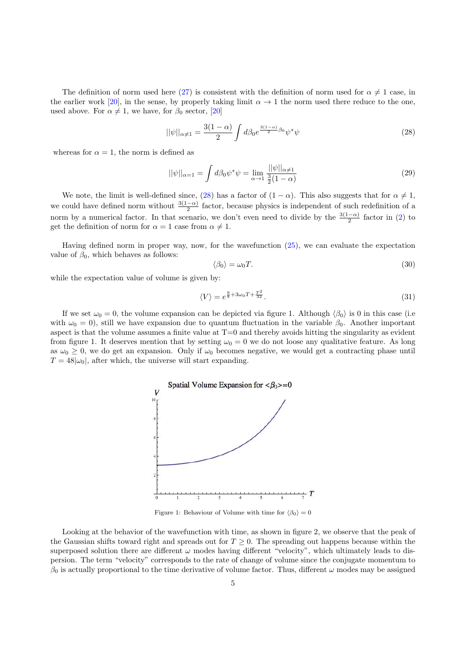The definition of norm used here [\(27\)](#page-3-2) is consistent with the definition of norm used for  $\alpha \neq 1$  case, in the earlier work [\[20\]](#page-10-19), in the sense, by properly taking limit  $\alpha \to 1$  the norm used there reduce to the one, used above. For  $\alpha \neq 1$ , we have, for  $\beta_0$  sector, [\[20\]](#page-10-19)

<span id="page-4-0"></span>
$$
||\psi||_{\alpha \neq 1} = \frac{3(1-\alpha)}{2} \int d\beta_0 e^{\frac{3(1-\alpha)}{2}\beta_0} \psi^* \psi \tag{28}
$$

whereas for  $\alpha = 1$ , the norm is defined as

$$
||\psi||_{\alpha=1} = \int d\beta_0 \psi^* \psi = \lim_{\alpha \to 1} \frac{||\psi||_{\alpha \neq 1}}{\frac{3}{2}(1 - \alpha)} \tag{29}
$$

We note, the limit is well-defined since, [\(28\)](#page-4-0) has a factor of  $(1 - \alpha)$ . This also suggests that for  $\alpha \neq 1$ , we could have defined norm without  $\frac{3(1-\alpha)}{2}$  factor, because physics is independent of such redefinition of a norm by a numerical factor. In that scenario, we don't even need to divide by the  $\frac{3(1-\alpha)}{2}$  factor in [\(2\)](#page-4-0) to get the definition of norm for  $\alpha = 1$  case from  $\alpha \neq 1$ .

Having defined norm in proper way, now, for the wavefunction [\(25\)](#page-3-3), we can evaluate the expectation value of  $\beta_0$ , which behaves as follows:

$$
\langle \beta_0 \rangle = \omega_0 T. \tag{30}
$$

while the expectation value of volume is given by:

$$
\langle V \rangle = e^{\frac{9}{8} + 3\omega_0 T + \frac{T^2}{32}}.
$$
\n
$$
(31)
$$

If we set  $\omega_0 = 0$ , the volume expansion can be depicted via figure 1. Although  $\langle \beta_0 \rangle$  is 0 in this case (i.e. with  $\omega_0 = 0$ , still we have expansion due to quantum fluctuation in the variable  $\beta_0$ . Another important aspect is that the volume assumes a finite value at  $T=0$  and thereby avoids hitting the singularity as evident from figure 1. It deserves mention that by setting  $\omega_0 = 0$  we do not loose any qualitative feature. As long as  $\omega_0 \geq 0$ , we do get an expansion. Only if  $\omega_0$  becomes negative, we would get a contracting phase until  $T = 48|\omega_0|$ , after which, the universe will start expanding.



Figure 1: Behaviour of Volume with time for  $\langle \beta_0 \rangle = 0$ 

Looking at the behavior of the wavefunction with time, as shown in figure 2, we observe that the peak of the Gaussian shifts toward right and spreads out for  $T \geq 0$ . The spreading out happens because within the superposed solution there are different  $\omega$  modes having different "velocity", which ultimately leads to dispersion. The term "velocity" corresponds to the rate of change of volume since the conjugate momentum to  $\beta_0$  is actually proportional to the time derivative of volume factor. Thus, different  $\omega$  modes may be assigned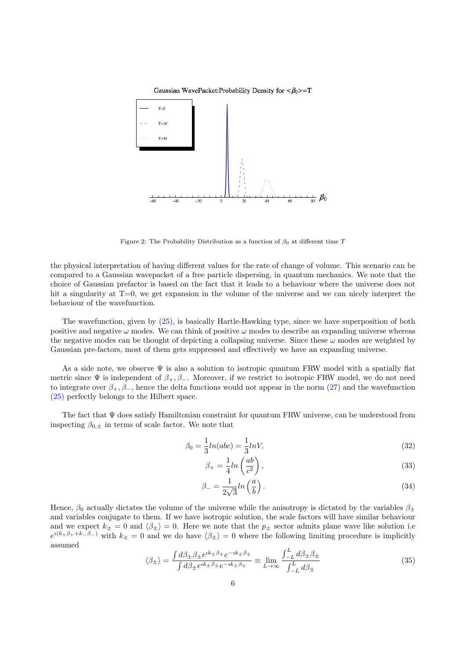

Gaussian WavePacket:Probability Density for  $\langle \beta_0 \rangle = T$ 

Figure 2: The Probability Distribution as a function of  $\beta_0$  at different time T

the physical interpretation of having different values for the rate of change of volume. This scenario can be compared to a Gaussian wavepacket of a free particle dispersing, in quantum mechanics. We note that the choice of Gaussian prefactor is based on the fact that it leads to a behaviour where the universe does not hit a singularity at T=0, we get expansion in the volume of the universe and we can nicely interpret the behaviour of the wavefunction.

The wavefunction, given by [\(25\)](#page-3-3), is basically Hartle-Hawking type, since we have superposition of both positive and negative  $\omega$  modes. We can think of positive  $\omega$  modes to describe an expanding universe whereas the negative modes can be thought of depicting a collapsing universe. Since these  $\omega$  modes are weighted by Gaussian pre-factors, most of them gets suppressed and effectively we have an expanding universe.

As a side note, we observe  $\Psi$  is also a solution to isotropic quantum FRW model with a spatially flat metric since  $\Psi$  is independent of  $\beta_+, \beta_-.$  Moreover, if we restrict to isotropic FRW model, we do not need to integrate over  $\beta_+, \beta_-,$  hence the delta functions would not appear in the norm [\(27\)](#page-3-2) and the wavefunction [\(25\)](#page-3-3) perfectly belongs to the Hilbert space.

The fact that Ψ does satisfy Hamiltonian constraint for quantum FRW universe, can be understood from inspecting  $\beta_{0,\pm}$  in terms of scale factor. We note that

<span id="page-5-0"></span>
$$
\beta_0 = \frac{1}{3}ln(abc) = \frac{1}{3}lnV,\tag{32}
$$

$$
\beta_{+} = \frac{1}{4} ln\left(\frac{ab}{c^2}\right),\tag{33}
$$

$$
\beta_- = \frac{1}{2\sqrt{3}} ln\left(\frac{a}{b}\right). \tag{34}
$$

Hence,  $\beta_0$  actually dictates the volume of the universe while the anisotropy is dictated by the variables  $\beta_{\pm}$ and variables conjugate to them. If we have isotropic solution, the scale factors will have similar behaviour and we expect  $k_{\pm} = 0$  and  $\langle \beta_{\pm} \rangle = 0$ . Here we note that the  $p_{\pm}$  sector admits plane wave like solution i.e  $e^{i(k+\beta_{+}+k-\beta_{-})}$  with  $k_{\pm}=0$  and we do have  $\langle \beta_{\pm} \rangle = 0$  where the following limiting procedure is implicitly assumed

$$
\langle \beta_{\pm} \rangle = \frac{\int d\beta_{\pm} \beta_{\pm} e^{ik_{\pm}\beta_{\pm}} e^{-ik_{\pm}\beta_{\pm}}}{\int d\beta_{\pm} e^{ik_{\pm}\beta_{\pm}} e^{-ik_{\pm}\beta_{\pm}}} \equiv \lim_{L \to \infty} \frac{\int_{-L}^{L} d\beta_{\pm} \beta_{\pm}}{\int_{-L}^{L} d\beta_{\pm}} \tag{35}
$$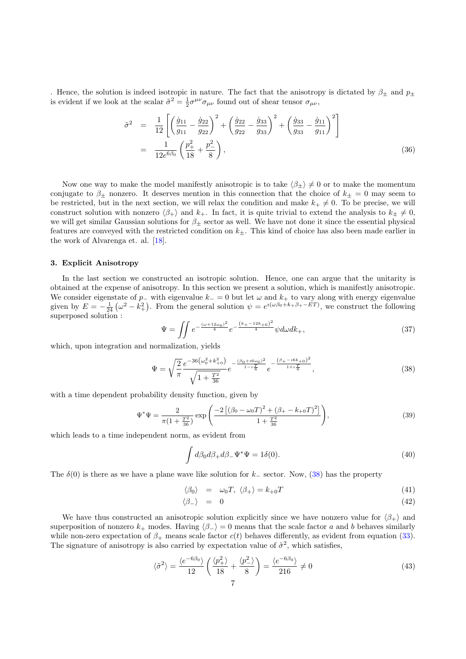. Hence, the solution is indeed isotropic in nature. The fact that the anisotropy is dictated by  $\beta_+$  and  $p_+$ is evident if we look at the scalar  $\tilde{\sigma}^2 = \frac{1}{2} \sigma^{\mu\nu} \sigma_{\mu\nu}$  found out of shear tensor  $\sigma_{\mu\nu}$ ,

$$
\tilde{\sigma}^2 = \frac{1}{12} \left[ \left( \frac{\dot{g}_{11}}{g_{11}} - \frac{\dot{g}_{22}}{g_{22}} \right)^2 + \left( \frac{\dot{g}_{22}}{g_{22}} - \frac{\dot{g}_{33}}{g_{33}} \right)^2 + \left( \frac{\dot{g}_{33}}{g_{33}} - \frac{\dot{g}_{11}}{g_{11}} \right)^2 \right]
$$
  
= 
$$
\frac{1}{12e^{6\beta_0}} \left( \frac{p_+^2}{18} + \frac{p_-^2}{8} \right),
$$
(36)

Now one way to make the model manifestly anisotropic is to take  $\langle \beta_{+} \rangle \neq 0$  or to make the momentum conjugate to  $\beta_{\pm}$  nonzero. It deserves mention in this connection that the choice of  $k_{\pm} = 0$  may seem to be restricted, but in the next section, we will relax the condition and make  $k_{+} \neq 0$ . To be precise, we will construct solution with nonzero  $\langle \beta_+ \rangle$  and  $k_+$ . In fact, it is quite trivial to extend the analysis to  $k_+ \neq 0$ , we will get similar Gaussian solutions for  $\beta_{\pm}$  sector as well. We have not done it since the essential physical features are conveyed with the restricted condition on  $k_{\pm}$ . This kind of choice has also been made earlier in the work of Alvarenga et. al. [\[18\]](#page-10-17).

#### 3. Explicit Anisotropy

In the last section we constructed an isotropic solution. Hence, one can argue that the unitarity is obtained at the expense of anisotropy. In this section we present a solution, which is manifestly anisotropic. We consider eigenstate of  $p_$  with eigenvalue  $k_$  = 0 but let  $\omega$  and  $k_+$  to vary along with energy eigenvalue given by  $E = -\frac{1}{24}(\omega^2 - k_+^2)$ . From the general solution  $\psi = e^{i(\omega\beta_0 + k_+ \beta_+ - ET)}$ , we construct the following superposed solution :

<span id="page-6-0"></span>
$$
\Psi = \iint e^{-\frac{(\omega + 12\omega_0)^2}{4}} e^{-\frac{(k_+ - 12k_+0)^2}{4}} \psi d\omega dk_+, \tag{37}
$$

which, upon integration and normalization, yields

$$
\Psi = \sqrt{\frac{2}{\pi}} \frac{e^{-36(\omega_0^2 + k_{+0}^2)}}{\sqrt{1 + \frac{T^2}{36}}} e^{-\frac{(\beta_0 + i6\omega_0)^2}{1 - i\frac{T}{6}}} e^{-\frac{(\beta_+ - i6k_{+0})^2}{1 + i\frac{T}{6}}},\tag{38}
$$

with a time dependent probability density function, given by

$$
\Psi^* \Psi = \frac{2}{\pi (1 + \frac{T^2}{36})} \exp \left( \frac{-2 \left[ (\beta_0 - \omega_0 T)^2 + (\beta_+ - k_{+0} T)^2 \right]}{1 + \frac{T^2}{36}} \right),\tag{39}
$$

which leads to a time independent norm, as evident from

$$
\int d\beta_0 d\beta_+ d\beta_- \Psi^* \Psi = 1\delta(0). \tag{40}
$$

The  $\delta(0)$  is there as we have a plane wave like solution for k<sub>−</sub> sector. Now, [\(38\)](#page-6-0) has the property

$$
\langle \beta_0 \rangle = \omega_0 T, \ \langle \beta_+ \rangle = k_{+0} T \tag{41}
$$

$$
\langle \beta_- \rangle = 0 \tag{42}
$$

We have thus constructed an anisotropic solution explicitly since we have nonzero value for  $\langle \beta_+ \rangle$  and superposition of nonzero  $k_+$  modes. Having  $\langle \beta_- \rangle = 0$  means that the scale factor a and b behaves similarly while non-zero expectation of  $\beta_+$  means scale factor  $c(t)$  behaves differently, as evident from equation [\(33\)](#page-5-0). The signature of anisotropy is also carried by expectation value of  $\tilde{\sigma}^2$ , which satisfies,

$$
\langle \tilde{\sigma}^2 \rangle = \frac{\langle e^{-6\beta_0} \rangle}{12} \left( \frac{\langle p_+^2 \rangle}{18} + \frac{\langle p_-^2 \rangle}{8} \right) = \frac{\langle e^{-6\beta_0} \rangle}{216} \neq 0 \tag{43}
$$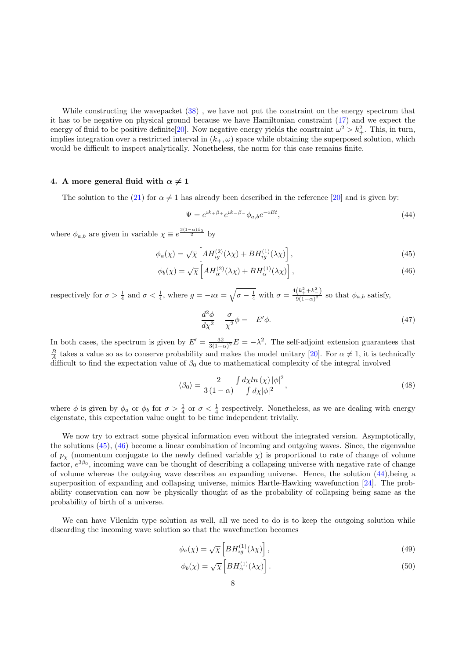While constructing the wavepacket [\(38\)](#page-6-0) , we have not put the constraint on the energy spectrum that it has to be negative on physical ground because we have Hamiltonian constraint [\(17\)](#page-2-0) and we expect the energy of fluid to be positive definite [\[20\]](#page-10-19). Now negative energy yields the constraint  $\omega^2 > k_+^2$ . This, in turn, implies integration over a restricted interval in  $(k_+,\omega)$  space while obtaining the superposed solution, which would be difficult to inspect analytically. Nonetheless, the norm for this case remains finite.

# 4. A more general fluid with  $\alpha \neq 1$

The solution to the [\(21\)](#page-3-0) for  $\alpha \neq 1$  has already been described in the reference [\[20\]](#page-10-19) and is given by:

<span id="page-7-1"></span>
$$
\Psi = e^{ik_+\beta_+}e^{ik_-\beta_-}\phi_{a,b}e^{-iEt},\tag{44}
$$

where  $\phi_{a,b}$  are given in variable  $\chi \equiv e^{\frac{3(1-\alpha)\beta_0}{2}}$  by

$$
\phi_a(\chi) = \sqrt{\chi} \left[ A H_{ig}^{(2)}(\lambda \chi) + B H_{ig}^{(1)}(\lambda \chi) \right],\tag{45}
$$

<span id="page-7-0"></span>
$$
\phi_b(\chi) = \sqrt{\chi} \left[ A H_{\alpha}^{(2)}(\lambda \chi) + B H_{\alpha}^{(1)}(\lambda \chi) \right],\tag{46}
$$

respectively for  $\sigma > \frac{1}{4}$  and  $\sigma < \frac{1}{4}$ , where  $g = -i\alpha = \sqrt{\sigma - \frac{1}{4}}$  with  $\sigma = \frac{4(k_+^2 + k_-^2)}{9(1-\alpha)^2}$  $\frac{(n_+ + n_-)}{9(1-\alpha)^2}$  so that  $\phi_{a,b}$  satisfy,

<span id="page-7-2"></span>
$$
-\frac{d^2\phi}{d\chi^2} - \frac{\sigma}{\chi^2}\phi = -E'\phi.
$$
\n(47)

In both cases, the spectrum is given by  $E' = \frac{32}{3(1-\alpha)^2}E = -\lambda^2$ . The self-adjoint extension guarantees that  $\frac{B}{A}$  takes a value so as to conserve probability and makes the model unitary [\[20\]](#page-10-19). For  $\alpha \neq 1$ , it is technically difficult to find the expectation value of  $\beta_0$  due to mathematical complexity of the integral involved

$$
\langle \beta_0 \rangle = \frac{2}{3(1-\alpha)} \frac{\int d\chi \ln(\chi) |\phi|^2}{\int d\chi |\phi|^2},\tag{48}
$$

where  $\phi$  is given by  $\phi_a$  or  $\phi_b$  for  $\sigma > \frac{1}{4}$  or  $\sigma < \frac{1}{4}$  respectively. Nonetheless, as we are dealing with energy eigenstate, this expectation value ought to be time independent trivially.

We now try to extract some physical information even without the integrated version. Asymptotically, the solutions [\(45\)](#page-7-0), [\(46\)](#page-7-0) become a linear combination of incoming and outgoing waves. Since, the eigenvalue of  $p<sub>x</sub>$  (momentum conjugate to the newly defined variable  $\chi$ ) is proportional to rate of change of volume factor,  $e^{3\beta_0}$ , incoming wave can be thought of describing a collapsing universe with negative rate of change of volume whereas the outgoing wave describes an expanding universe. Hence, the solution [\(44\)](#page-7-1),being a superposition of expanding and collapsing universe, mimics Hartle-Hawking wavefunction [\[24\]](#page-10-23). The probability conservation can now be physically thought of as the probability of collapsing being same as the probability of birth of a universe.

We can have Vilenkin type solution as well, all we need to do is to keep the outgoing solution while discarding the incoming wave solution so that the wavefunction becomes

$$
\phi_a(\chi) = \sqrt{\chi} \left[ BH_{ig}^{(1)}(\lambda \chi) \right],\tag{49}
$$

$$
\phi_b(\chi) = \sqrt{\chi} \left[ BH_\alpha^{(1)}(\lambda \chi) \right]. \tag{50}
$$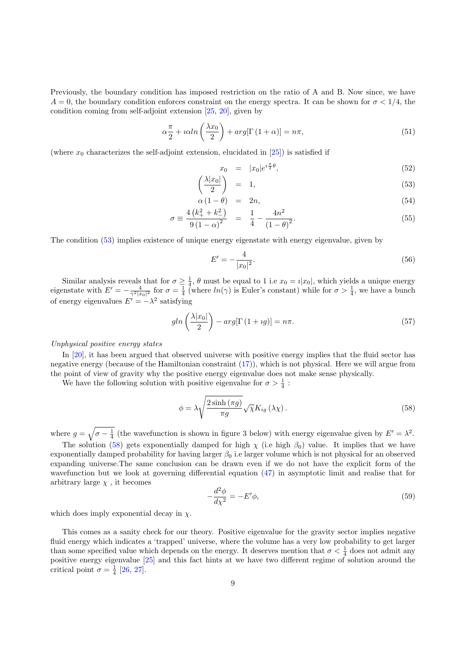Previously, the boundary condition has imposed restriction on the ratio of A and B. Now since, we have  $A = 0$ , the boundary condition enforces constraint on the energy spectra. It can be shown for  $\sigma < 1/4$ , the condition coming from self-adjoint extension [\[25,](#page-10-24) [20\]](#page-10-19), given by

$$
\alpha \frac{\pi}{2} + i\alpha \ln\left(\frac{\lambda x_0}{2}\right) + arg[\Gamma(1+\alpha)] = n\pi,\tag{51}
$$

(where  $x_0$  characterizes the self-adjoint extension, elucidated in [\[25\]](#page-10-24)) is satisfied if

<span id="page-8-0"></span>
$$
x_0 = |x_0|e^{i\frac{\pi}{2}\theta},\tag{52}
$$

$$
\left(\frac{\lambda|x_0|}{2}\right) = 1,\tag{53}
$$

$$
\alpha (1 - \theta) = 2n, \tag{54}
$$

$$
\sigma \equiv \frac{4\left(k_+^2 + k_-^2\right)}{9\left(1 - \alpha\right)^2} = \frac{1}{4} - \frac{4n^2}{\left(1 - \theta\right)^2}.
$$
\n(55)

The condition [\(53\)](#page-8-0) implies existence of unique energy eigenstate with energy eigenvalue, given by

$$
E' = -\frac{4}{|x_0|^2}.\tag{56}
$$

Similar analysis reveals that for  $\sigma \geq \frac{1}{4}$ ,  $\theta$  must be equal to 1 i.e  $x_0 = i|x_0|$ , which yields a unique energy eigenstate with  $E' = -\frac{4}{\gamma^2 |x_0|^2}$  for  $\sigma = \frac{1}{4}$  (where  $ln(\gamma)$  is Euler's constant) while for  $\sigma > \frac{1}{4}$ , we have a bunch of energy eigenvalues  $E' = -\lambda^2$  satisfying

$$
gln\left(\frac{\lambda|x_0|}{2}\right) - arg[\Gamma(1+ig)] = n\pi.
$$
\n(57)

#### Unphysical positive energy states

In [\[20\]](#page-10-19), it has been argued that observed universe with positive energy implies that the fluid sector has negative energy (because of the Hamiltonian constraint [\(17\)](#page-2-0)), which is not physical. Here we will argue from the point of view of gravity why the positive energy eigenvalue does not make sense physically.

We have the following solution with positive eigenvalue for  $\sigma > \frac{1}{4}$ :

<span id="page-8-1"></span>
$$
\phi = \lambda \sqrt{\frac{2 \sinh \left(\pi g\right)}{\pi g}} \sqrt{\chi} K_{ig} \left(\lambda \chi\right). \tag{58}
$$

where  $g = \sqrt{\sigma - \frac{1}{4}}$  (the wavefunction is shown in figure 3 below) with energy eigenvalue given by  $E' = \lambda^2$ .

The solution [\(58\)](#page-8-1) gets exponentially damped for high  $\chi$  (i.e high  $\beta_0$ ) value. It implies that we have exponentially damped probability for having larger  $\beta_0$  i.e larger volume which is not physical for an observed expanding universe.The same conclusion can be drawn even if we do not have the explicit form of the wavefunction but we look at governing differential equation  $(47)$  in asymptotic limit and realise that for arbitrary large  $\chi$ , it becomes

$$
-\frac{d^2\phi}{d\chi^2} = -E'\phi,\tag{59}
$$

which does imply exponential decay in  $\chi$ .

This comes as a sanity check for our theory. Positive eigenvalue for the gravity sector implies negative fluid energy which indicates a 'trapped' universe, where the volume has a very low probability to get larger than some specified value which depends on the energy. It deserves mention that  $\sigma < \frac{1}{4}$  does not admit any positive energy eigenvalue [\[25\]](#page-10-24) and this fact hints at we have two different regime of solution around the critical point  $\sigma = \frac{1}{4}$  [\[26,](#page-10-25) [27\]](#page-10-26).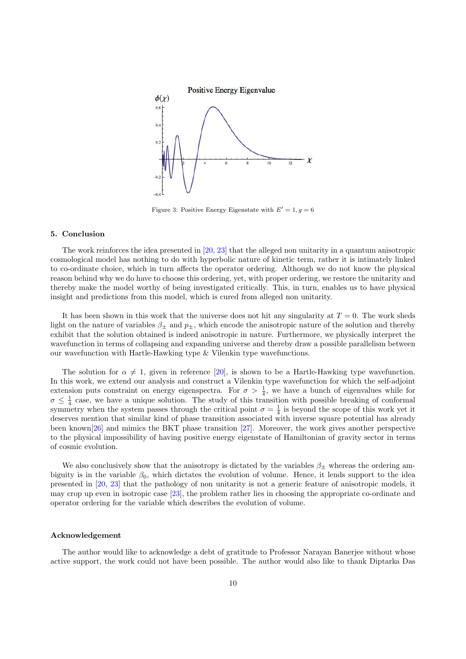

Figure 3: Positive Energy Eigenstate with  $E'=1, g=6$ 

#### 5. Conclusion

The work reinforces the idea presented in [\[20,](#page-10-19) [23\]](#page-10-22) that the alleged non unitarity in a quantum anisotropic cosmological model has nothing to do with hyperbolic nature of kinetic term, rather it is intimately linked to co-ordinate choice, which in turn affects the operator ordering. Although we do not know the physical reason behind why we do have to choose this ordering, yet, with proper ordering, we restore the unitarity and thereby make the model worthy of being investigated critically. This, in turn, enables us to have physical insight and predictions from this model, which is cured from alleged non unitarity.

It has been shown in this work that the universe does not hit any singularity at  $T = 0$ . The work sheds light on the nature of variables  $\beta_{\pm}$  and  $p_{\pm}$ , which encode the anisotropic nature of the solution and thereby exhibit that the solution obtained is indeed anisotropic in nature. Furthermore, we physically interpret the wavefunction in terms of collapsing and expanding universe and thereby draw a possible parallelism between our wavefunction with Hartle-Hawking type & Vilenkin type wavefunctions.

The solution for  $\alpha \neq 1$ , given in reference [\[20\]](#page-10-19), is shown to be a Hartle-Hawking type wavefunction. In this work, we extend our analysis and construct a Vilenkin type wavefunction for which the self-adjoint extension puts constraint on energy eigenspectra. For  $\sigma > \frac{1}{4}$ , we have a bunch of eigenvalues while for  $\sigma \leq \frac{1}{4}$  case, we have a unique solution. The study of this transition with possible breaking of conformal symmetry when the system passes through the critical point  $\sigma = \frac{1}{4}$  is beyond the scope of this work yet it deserves mention that similar kind of phase transition associated with inverse square potential has already been known[\[26\]](#page-10-25) and mimics the BKT phase transition [\[27\]](#page-10-26). Moreover, the work gives another perspective to the physical impossibility of having positive energy eigenstate of Hamiltonian of gravity sector in terms of cosmic evolution.

We also conclusively show that the anisotropy is dictated by the variables  $\beta_{\pm}$  whereas the ordering ambiguity is in the variable  $\beta_0$ , which dictates the evolution of volume. Hence, it lends support to the idea presented in [\[20,](#page-10-19) [23\]](#page-10-22) that the pathology of non unitarity is not a generic feature of anisotropic models, it may crop up even in isotropic case [\[23\]](#page-10-22), the problem rather lies in choosing the appropriate co-ordinate and operator ordering for the variable which describes the evolution of volume.

#### Acknowledgement

The author would like to acknowledge a debt of gratitude to Professor Narayan Banerjee without whose active support, the work could not have been possible. The author would also like to thank Diptarka Das